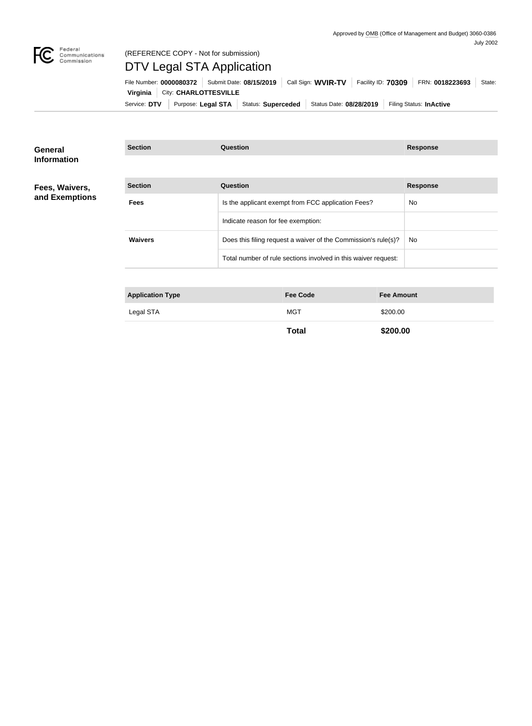

### Federal<br>Communications<br>Commission (REFERENCE COPY - Not for submission)

# DTV Legal STA Application

Service: DTV | Purpose: Legal STA | Status: Superceded | Status Date: 08/28/2019 | Filing Status: InActive **Virginia City: CHARLOTTESVILLE** File Number: **0000080372** Submit Date: **08/15/2019** Call Sign: WVIR-TV Facility ID: 70309 FRN: 0018223693 State:

**Section Question Response**

| General            |
|--------------------|
| <b>Information</b> |

#### **Fees, Waivers, and Exemptions**

| <b>Section</b> | Question                                                       | <b>Response</b> |
|----------------|----------------------------------------------------------------|-----------------|
| <b>Fees</b>    | Is the applicant exempt from FCC application Fees?             | No.             |
|                | Indicate reason for fee exemption:                             |                 |
| <b>Waivers</b> | Does this filing request a waiver of the Commission's rule(s)? | No.             |
|                | Total number of rule sections involved in this waiver request: |                 |

| <b>Application Type</b> | <b>Fee Code</b> | <b>Fee Amount</b> |
|-------------------------|-----------------|-------------------|
| Legal STA               | <b>MGT</b>      | \$200.00          |
|                         | Total           | \$200.00          |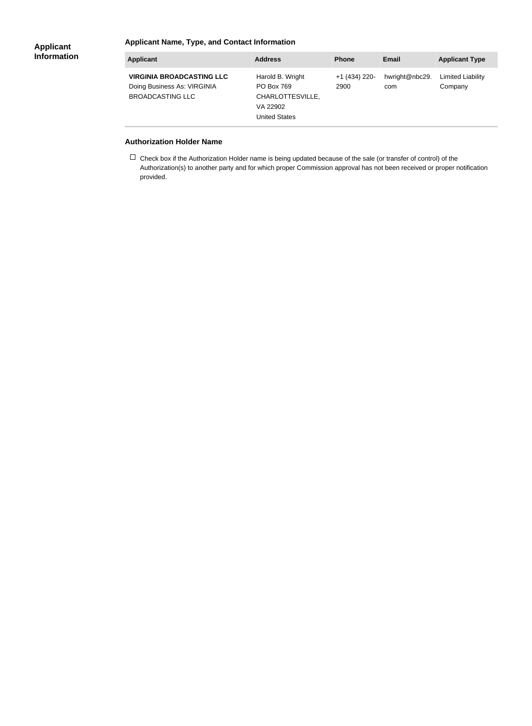#### **Applicant Name, Type, and Contact Information**

| <b>Applicant</b>                                                                           | <b>Address</b>                                                                                | <b>Phone</b>          | Email                 | <b>Applicant Type</b>               |
|--------------------------------------------------------------------------------------------|-----------------------------------------------------------------------------------------------|-----------------------|-----------------------|-------------------------------------|
| <b>VIRGINIA BROADCASTING LLC</b><br>Doing Business As: VIRGINIA<br><b>BROADCASTING LLC</b> | Harold B. Wright<br><b>PO Box 769</b><br>CHARLOTTESVILLE,<br>VA 22902<br><b>United States</b> | +1 (434) 220-<br>2900 | hwright@nbc29.<br>com | <b>Limited Liability</b><br>Company |

#### **Authorization Holder Name**

 $\Box$  Check box if the Authorization Holder name is being updated because of the sale (or transfer of control) of the Authorization(s) to another party and for which proper Commission approval has not been received or proper notification provided.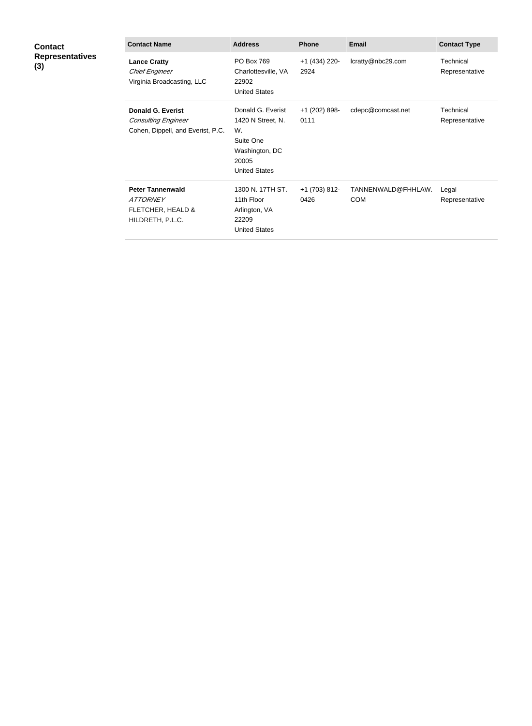| <b>Contact</b><br><b>Representatives</b><br>(3) | <b>Contact Name</b>                                                                         | <b>Address</b>                                                                                               | <b>Phone</b>          | <b>Email</b>                     | <b>Contact Type</b>         |
|-------------------------------------------------|---------------------------------------------------------------------------------------------|--------------------------------------------------------------------------------------------------------------|-----------------------|----------------------------------|-----------------------------|
|                                                 | <b>Lance Cratty</b><br><b>Chief Engineer</b><br>Virginia Broadcasting, LLC                  | PO Box 769<br>Charlottesville, VA<br>22902<br><b>United States</b>                                           | +1 (434) 220-<br>2924 | lcratty@nbc29.com                | Technical<br>Representative |
|                                                 | <b>Donald G. Everist</b><br><b>Consulting Engineer</b><br>Cohen, Dippell, and Everist, P.C. | Donald G. Everist<br>1420 N Street, N.<br>W.<br>Suite One<br>Washington, DC<br>20005<br><b>United States</b> | +1 (202) 898-<br>0111 | cdepc@comcast.net                | Technical<br>Representative |
|                                                 | <b>Peter Tannenwald</b><br><b>ATTORNEY</b><br>FLETCHER, HEALD &<br>HILDRETH, P.L.C.         | 1300 N. 17TH ST.<br>11th Floor<br>Arlington, VA<br>22209<br><b>United States</b>                             | +1 (703) 812-<br>0426 | TANNENWALD@FHHLAW.<br><b>COM</b> | Legal<br>Representative     |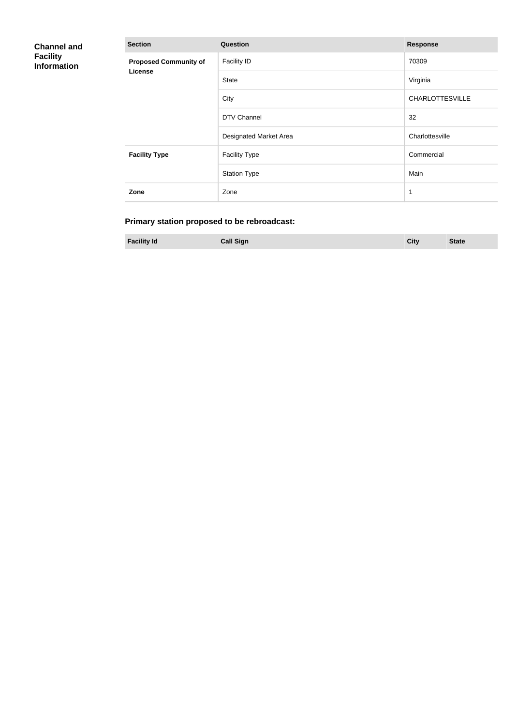| <b>Channel and</b><br><b>Facility</b><br><b>Information</b> | <b>Section</b>                          | Question               | <b>Response</b>        |
|-------------------------------------------------------------|-----------------------------------------|------------------------|------------------------|
|                                                             | <b>Proposed Community of</b><br>License | <b>Facility ID</b>     | 70309                  |
|                                                             |                                         | <b>State</b>           | Virginia               |
|                                                             |                                         | City                   | <b>CHARLOTTESVILLE</b> |
|                                                             |                                         | DTV Channel            | 32                     |
|                                                             |                                         | Designated Market Area | Charlottesville        |
|                                                             | <b>Facility Type</b>                    | <b>Facility Type</b>   | Commercial             |
|                                                             |                                         | <b>Station Type</b>    | Main                   |
|                                                             | Zone                                    | Zone                   | $\mathbf{1}$           |

## **Primary station proposed to be rebroadcast:**

**Facility Id Call Sign City State**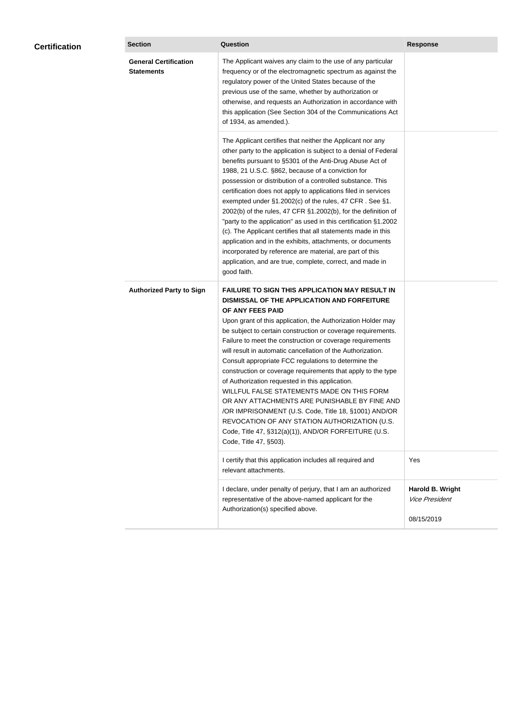| <b>Certification</b> | <b>Section</b>                                    | <b>Question</b>                                                                                                                                                                                                                                                                                                                                                                                                                                                                                                                                                                                                                                                                                                                                                                                                                                           | <b>Response</b>                                         |
|----------------------|---------------------------------------------------|-----------------------------------------------------------------------------------------------------------------------------------------------------------------------------------------------------------------------------------------------------------------------------------------------------------------------------------------------------------------------------------------------------------------------------------------------------------------------------------------------------------------------------------------------------------------------------------------------------------------------------------------------------------------------------------------------------------------------------------------------------------------------------------------------------------------------------------------------------------|---------------------------------------------------------|
|                      | <b>General Certification</b><br><b>Statements</b> | The Applicant waives any claim to the use of any particular<br>frequency or of the electromagnetic spectrum as against the<br>regulatory power of the United States because of the<br>previous use of the same, whether by authorization or<br>otherwise, and requests an Authorization in accordance with<br>this application (See Section 304 of the Communications Act<br>of 1934, as amended.).                                                                                                                                                                                                                                                                                                                                                                                                                                                       |                                                         |
|                      |                                                   | The Applicant certifies that neither the Applicant nor any<br>other party to the application is subject to a denial of Federal<br>benefits pursuant to §5301 of the Anti-Drug Abuse Act of<br>1988, 21 U.S.C. §862, because of a conviction for<br>possession or distribution of a controlled substance. This<br>certification does not apply to applications filed in services<br>exempted under §1.2002(c) of the rules, 47 CFR. See §1.<br>2002(b) of the rules, 47 CFR §1.2002(b), for the definition of<br>"party to the application" as used in this certification §1.2002<br>(c). The Applicant certifies that all statements made in this<br>application and in the exhibits, attachments, or documents<br>incorporated by reference are material, are part of this<br>application, and are true, complete, correct, and made in<br>good faith.   |                                                         |
|                      | <b>Authorized Party to Sign</b>                   | <b>FAILURE TO SIGN THIS APPLICATION MAY RESULT IN</b><br>DISMISSAL OF THE APPLICATION AND FORFEITURE<br>OF ANY FEES PAID<br>Upon grant of this application, the Authorization Holder may<br>be subject to certain construction or coverage requirements.<br>Failure to meet the construction or coverage requirements<br>will result in automatic cancellation of the Authorization.<br>Consult appropriate FCC regulations to determine the<br>construction or coverage requirements that apply to the type<br>of Authorization requested in this application.<br>WILLFUL FALSE STATEMENTS MADE ON THIS FORM<br>OR ANY ATTACHMENTS ARE PUNISHABLE BY FINE AND<br>/OR IMPRISONMENT (U.S. Code, Title 18, §1001) AND/OR<br>REVOCATION OF ANY STATION AUTHORIZATION (U.S.<br>Code, Title 47, §312(a)(1)), AND/OR FORFEITURE (U.S.<br>Code, Title 47, §503). |                                                         |
|                      |                                                   | I certify that this application includes all required and<br>relevant attachments.                                                                                                                                                                                                                                                                                                                                                                                                                                                                                                                                                                                                                                                                                                                                                                        | Yes                                                     |
|                      |                                                   | I declare, under penalty of perjury, that I am an authorized<br>representative of the above-named applicant for the<br>Authorization(s) specified above.                                                                                                                                                                                                                                                                                                                                                                                                                                                                                                                                                                                                                                                                                                  | Harold B. Wright<br><b>Vice President</b><br>08/15/2019 |